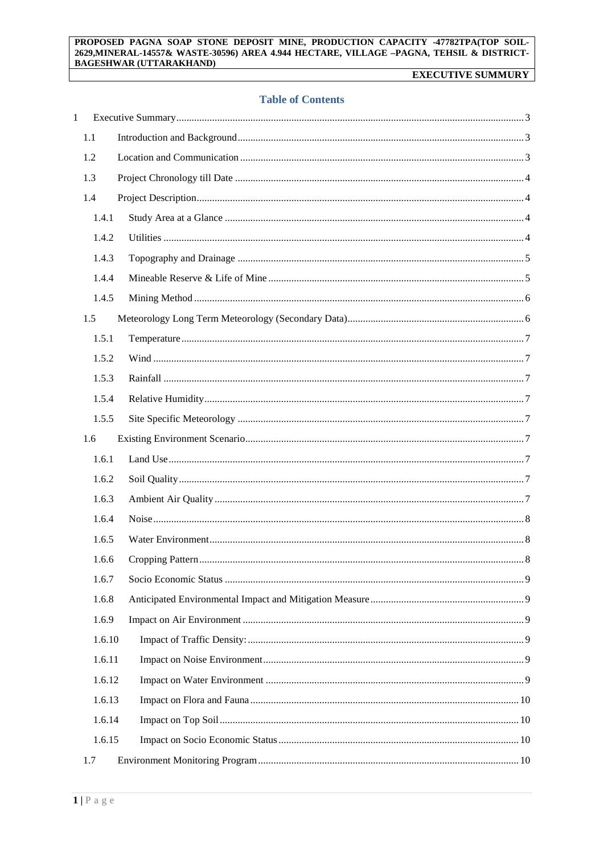#### PROPOSED PAGNA SOAP STONE DEPOSIT MINE, PRODUCTION CAPACITY -47782TPA(TOP SOIL-2629, MINERAL-14557& WASTE-30596) AREA 4.944 HECTARE, VILLAGE -PAGNA, TEHSIL & DISTRICT-**BAGESHWAR (UTTARAKHAND)**

# **EXECUTIVE SUMMURY**

## **Table of Contents**

| $\mathbf{1}$ |        |  |
|--------------|--------|--|
|              | 1.1    |  |
|              | 1.2    |  |
|              | 1.3    |  |
|              | 1.4    |  |
|              | 1.4.1  |  |
|              | 1.4.2  |  |
|              | 1.4.3  |  |
|              | 1.4.4  |  |
|              | 1.4.5  |  |
|              | 1.5    |  |
|              | 1.5.1  |  |
|              | 1.5.2  |  |
|              | 1.5.3  |  |
|              | 1.5.4  |  |
|              | 1.5.5  |  |
|              | 1.6    |  |
|              | 1.6.1  |  |
|              | 1.6.2  |  |
|              | 1.6.3  |  |
|              | 1.6.4  |  |
|              | 1.6.5  |  |
|              | 1.6.6  |  |
|              | 1.6.7  |  |
|              | 1.6.8  |  |
|              | 1.6.9  |  |
|              | 1.6.10 |  |
|              | 1.6.11 |  |
|              | 1.6.12 |  |
|              | 1.6.13 |  |
|              | 1.6.14 |  |
|              | 1.6.15 |  |
|              | 1.7    |  |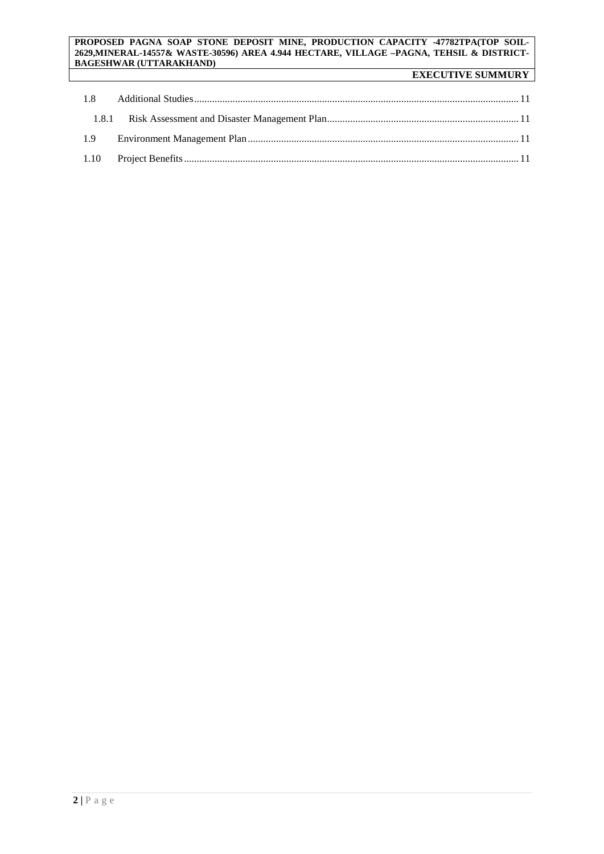#### **PROPOSED PAGNA SOAP STONE DEPOSIT MINE, PRODUCTION CAPACITY -47782TPA(TOP SOIL-2629,MINERAL-14557& WASTE-30596) AREA 4.944 HECTARE, VILLAGE –PAGNA, TEHSIL & DISTRICT-BAGESHWAR (UTTARAKHAND)**

# **EXECUTIVE SUMMURY**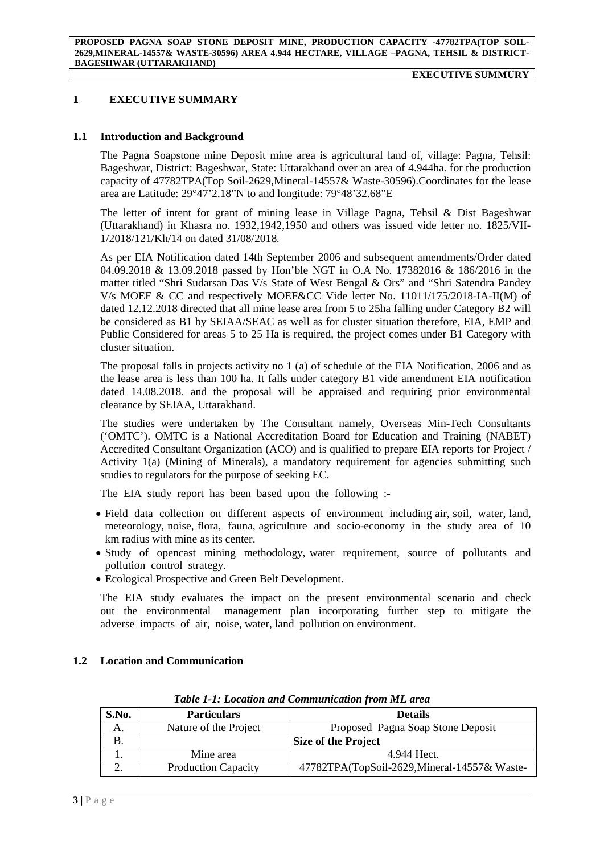## <span id="page-2-0"></span>**1 EXECUTIVE SUMMARY**

#### <span id="page-2-1"></span>**1.1 Introduction and Background**

The Pagna Soapstone mine Deposit mine area is agricultural land of, village: Pagna, Tehsil: Bageshwar, District: Bageshwar, State: Uttarakhand over an area of 4.944ha. for the production capacity of 47782TPA(Top Soil-2629,Mineral-14557& Waste-30596).Coordinates for the lease area are Latitude: 29°47'2.18"N to and longitude: 79°48'32.68"E

The letter of intent for grant of mining lease in Village Pagna, Tehsil & Dist Bageshwar (Uttarakhand) in Khasra no. 1932,1942,1950 and others was issued vide letter no. 1825/VII-1/2018/121/Kh/14 on dated 31/08/2018.

As per EIA Notification dated 14th September 2006 and subsequent amendments/Order dated 04.09.2018 & 13.09.2018 passed by Hon'ble NGT in O.A No. 17382016 & 186/2016 in the matter titled "Shri Sudarsan Das V/s State of West Bengal & Ors" and "Shri Satendra Pandey V/s MOEF & CC and respectively MOEF&CC Vide letter No. 11011/175/2018-IA-II(M) of dated 12.12.2018 directed that all mine lease area from 5 to 25ha falling under Category B2 will be considered as B1 by SEIAA/SEAC as well as for cluster situation therefore, EIA, EMP and Public Considered for areas 5 to 25 Ha is required, the project comes under B1 Category with cluster situation.

The proposal falls in projects activity no 1 (a) of schedule of the EIA Notification, 2006 and as the lease area is less than 100 ha. It falls under category B1 vide amendment EIA notification dated 14.08.2018. and the proposal will be appraised and requiring prior environmental clearance by SEIAA, Uttarakhand.

The studies were undertaken by The Consultant namely, Overseas Min-Tech Consultants ('OMTC'). OMTC is a National Accreditation Board for Education and Training (NABET) Accredited Consultant Organization (ACO) and is qualified to prepare EIA reports for Project / Activity 1(a) (Mining of Minerals), a mandatory requirement for agencies submitting such studies to regulators for the purpose of seeking EC.

The EIA study report has been based upon the following :-

- Field data collection on different aspects of environment including air, soil, water, land, meteorology, noise, flora, fauna, agriculture and socio-economy in the study area of 10 km radius with mine as its center.
- Study of opencast mining methodology, water requirement, source of pollutants and pollution control strategy.
- Ecological Prospective and Green Belt Development.

The EIA study evaluates the impact on the present environmental scenario and check out the environmental management plan incorporating further step to mitigate the adverse impacts of air, noise, water, land pollution on environment.

## <span id="page-2-2"></span>**1.2 Location and Communication**

| S.No.                    | <b>Particulars</b><br><b>Details</b> |                                              |
|--------------------------|--------------------------------------|----------------------------------------------|
| A.                       | Nature of the Project                | Proposed Pagna Soap Stone Deposit            |
|                          | <b>Size of the Project</b>           |                                              |
|                          | Mine area                            | 4.944 Hect.                                  |
| $\overline{\phantom{a}}$ | <b>Production Capacity</b>           | 47782TPA(TopSoil-2629, Mineral-14557& Waste- |

*Table 1-1: Location and Communication from ML area*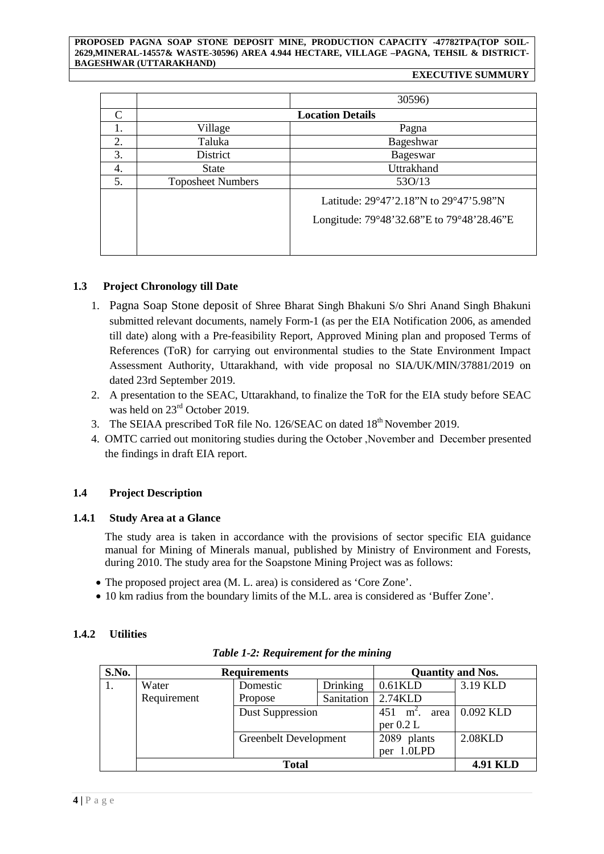#### **PROPOSED PAGNA SOAP STONE DEPOSIT MINE, PRODUCTION CAPACITY -47782TPA(TOP SOIL-2629,MINERAL-14557& WASTE-30596) AREA 4.944 HECTARE, VILLAGE –PAGNA, TEHSIL & DISTRICT-BAGESHWAR (UTTARAKHAND)**

#### **EXECUTIVE SUMMURY**

|    |                          | 30596)                                                                              |  |  |
|----|--------------------------|-------------------------------------------------------------------------------------|--|--|
| C  |                          | <b>Location Details</b>                                                             |  |  |
|    | Village                  | Pagna                                                                               |  |  |
| 2. | Taluka                   | Bageshwar                                                                           |  |  |
| 3. | District                 | Bageswar                                                                            |  |  |
| 4. | <b>State</b>             | Uttrakhand                                                                          |  |  |
| 5. | <b>Toposheet Numbers</b> | 530/13                                                                              |  |  |
|    |                          | Latitude: 29°47'2.18"N to 29°47'5.98"N<br>Longitude: 79°48'32.68"E to 79°48'28.46"E |  |  |

# <span id="page-3-0"></span>**1.3 Project Chronology till Date**

- 1. Pagna Soap Stone deposit of Shree Bharat Singh Bhakuni S/o Shri Anand Singh Bhakuni submitted relevant documents, namely Form-1 (as per the EIA Notification 2006, as amended till date) along with a Pre-feasibility Report, Approved Mining plan and proposed Terms of References (ToR) for carrying out environmental studies to the State Environment Impact Assessment Authority, Uttarakhand, with vide proposal no SIA/UK/MIN/37881/2019 on dated 23rd September 2019.
- 2. A presentation to the SEAC, Uttarakhand, to finalize the ToR for the EIA study before SEAC was held on  $23<sup>rd</sup>$  October 2019.
- 3. The SEIAA prescribed ToR file No. 126/SEAC on dated 18<sup>th</sup> November 2019.
- 4. OMTC carried out monitoring studies during the October ,November and December presented the findings in draft EIA report.

# <span id="page-3-2"></span><span id="page-3-1"></span>**1.4 Project Description**

# **1.4.1 Study Area at a Glance**

The study area is taken in accordance with the provisions of sector specific EIA guidance manual for Mining of Minerals manual, published by Ministry of Environment and Forests, during 2010. The study area for the Soapstone Mining Project was as follows:

- The proposed project area (M. L. area) is considered as 'Core Zone'.
- 10 km radius from the boundary limits of the M.L. area is considered as 'Buffer Zone'.

# <span id="page-3-3"></span>**1.4.2 Utilities**

| S.No. | <b>Requirements</b>           |                       | <b>Quantity and Nos.</b> |                        |                 |
|-------|-------------------------------|-----------------------|--------------------------|------------------------|-----------------|
|       | Drinking<br>Water<br>Domestic |                       | $0.61$ KLD               | 3.19 KLD               |                 |
|       | Requirement                   | Propose               | Sanitation               | 2.74KLD                |                 |
|       |                               | Dust Suppression      |                          | 451<br>$m^2$ .<br>area | 0.092 KLD       |
|       |                               |                       |                          | per $0.2 L$            |                 |
|       |                               | Greenbelt Development |                          | 2089 plants            | 2.08KLD         |
|       |                               |                       |                          | per 1.0LPD             |                 |
|       | <b>Total</b>                  |                       |                          |                        | <b>4.91 KLD</b> |

# *Table 1-2: Requirement for the mining*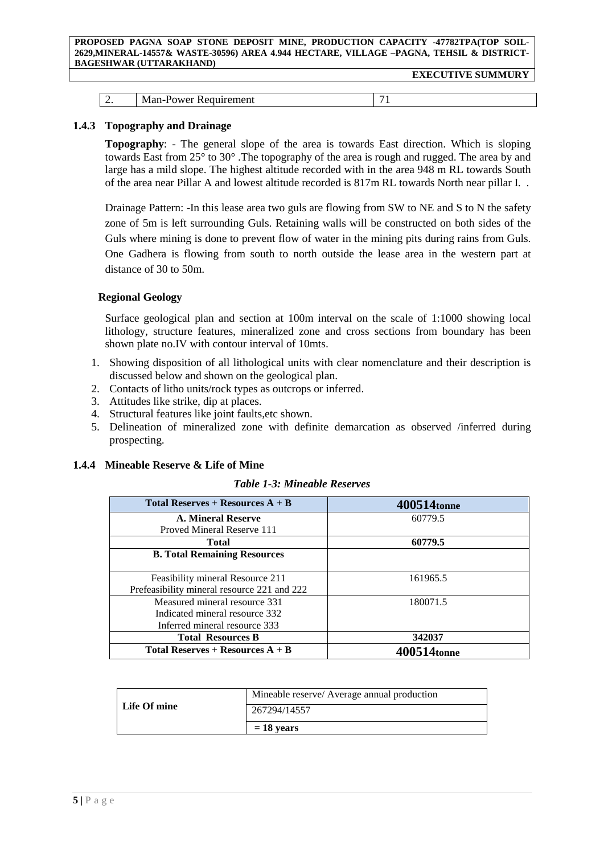#### **PROPOSED PAGNA SOAP STONE DEPOSIT MINE, PRODUCTION CAPACITY -47782TPA(TOP SOIL-2629,MINERAL-14557& WASTE-30596) AREA 4.944 HECTARE, VILLAGE –PAGNA, TEHSIL & DISTRICT-BAGESHWAR (UTTARAKHAND)**

| $\sim$<br>тепент<br>N<br><u>.</u><br>$\sim$<br>$ -$ |  |  |
|-----------------------------------------------------|--|--|
|                                                     |  |  |

## <span id="page-4-0"></span>**1.4.3 Topography and Drainage**

**Topography**: - The general slope of the area is towards East direction. Which is sloping towards East from 25° to 30° .The topography of the area is rough and rugged. The area by and large has a mild slope. The highest altitude recorded with in the area 948 m RL towards South of the area near Pillar A and lowest altitude recorded is 817m RL towards North near pillar I. .

Drainage Pattern: -In this lease area two guls are flowing from SW to NE and S to N the safety zone of 5m is left surrounding Guls. Retaining walls will be constructed on both sides of the Guls where mining is done to prevent flow of water in the mining pits during rains from Guls. One Gadhera is flowing from south to north outside the lease area in the western part at distance of 30 to 50m.

# **Regional Geology**

Surface geological plan and section at 100m interval on the scale of 1:1000 showing local lithology, structure features, mineralized zone and cross sections from boundary has been shown plate no.IV with contour interval of 10mts.

- 1. Showing disposition of all lithological units with clear nomenclature and their description is discussed below and shown on the geological plan.
- 2. Contacts of litho units/rock types as outcrops or inferred.
- 3. Attitudes like strike, dip at places.
- 4. Structural features like joint faults,etc shown.
- 5. Delineation of mineralized zone with definite demarcation as observed /inferred during prospecting.

## <span id="page-4-1"></span>**1.4.4 Mineable Reserve & Life of Mine**

## *Table 1-3: Mineable Reserves*

| Total Reserves + Resources $A + B$          | 400514tonne             |
|---------------------------------------------|-------------------------|
| A. Mineral Reserve                          | 60779.5                 |
| Proved Mineral Reserve 111                  |                         |
| <b>Total</b>                                | 60779.5                 |
| <b>B. Total Remaining Resources</b>         |                         |
|                                             |                         |
| Feasibility mineral Resource 211            | 161965.5                |
| Prefeasibility mineral resource 221 and 222 |                         |
| Measured mineral resource 331               | 180071.5                |
| Indicated mineral resource 332              |                         |
| Inferred mineral resource 333               |                         |
| <b>Total Resources B</b>                    | 342037                  |
| Total Reserves + Resources $A + B$          | 400514 <sub>tonne</sub> |

|              | Mineable reserve/ Average annual production |
|--------------|---------------------------------------------|
| Life Of mine | 267294/14557                                |
|              | $= 18$ vears                                |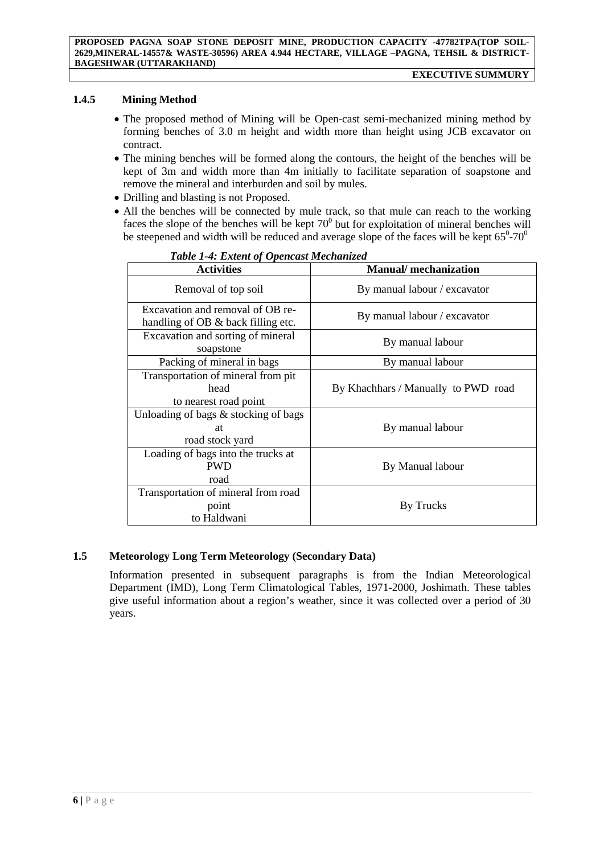# **1.4.5 Mining Method**

- <span id="page-5-0"></span>• The proposed method of Mining will be Open-cast semi-mechanized mining method by forming benches of 3.0 m height and width more than height using JCB excavator on contract.
- The mining benches will be formed along the contours, the height of the benches will be kept of 3m and width more than 4m initially to facilitate separation of soapstone and remove the mineral and interburden and soil by mules.
- Drilling and blasting is not Proposed.
- All the benches will be connected by mule track, so that mule can reach to the working faces the slope of the benches will be kept  $70^{\circ}$  but for exploitation of mineral benches will be steepened and width will be reduced and average slope of the faces will be kept  $65^{\circ}$ -70 $^{\circ}$

| тате 1-4. Елиет од Оренсам местатгеа                                   |                                     |  |
|------------------------------------------------------------------------|-------------------------------------|--|
| <b>Activities</b>                                                      | <b>Manual/</b> mechanization        |  |
| Removal of top soil                                                    | By manual labour / excavator        |  |
| Excavation and removal of OB re-<br>handling of OB & back filling etc. | By manual labour / excavator        |  |
| Excavation and sorting of mineral<br>soapstone                         | By manual labour                    |  |
| Packing of mineral in bags                                             | By manual labour                    |  |
| Transportation of mineral from pit<br>head<br>to nearest road point    | By Khachhars / Manually to PWD road |  |
| Unloading of bags $\&$ stocking of bags<br>at<br>road stock yard       | By manual labour                    |  |
| Loading of bags into the trucks at<br><b>PWD</b><br>road               | By Manual labour                    |  |
| Transportation of mineral from road<br>point<br>to Haldwani            | By Trucks                           |  |

## *Table 1-4: Extent of Opencast Mechanized*

# <span id="page-5-1"></span>**1.5 Meteorology Long Term Meteorology (Secondary Data)**

Information presented in subsequent paragraphs is from the Indian Meteorological Department (IMD), Long Term Climatological Tables, 1971-2000, Joshimath. These tables give useful information about a region's weather, since it was collected over a period of 30 years.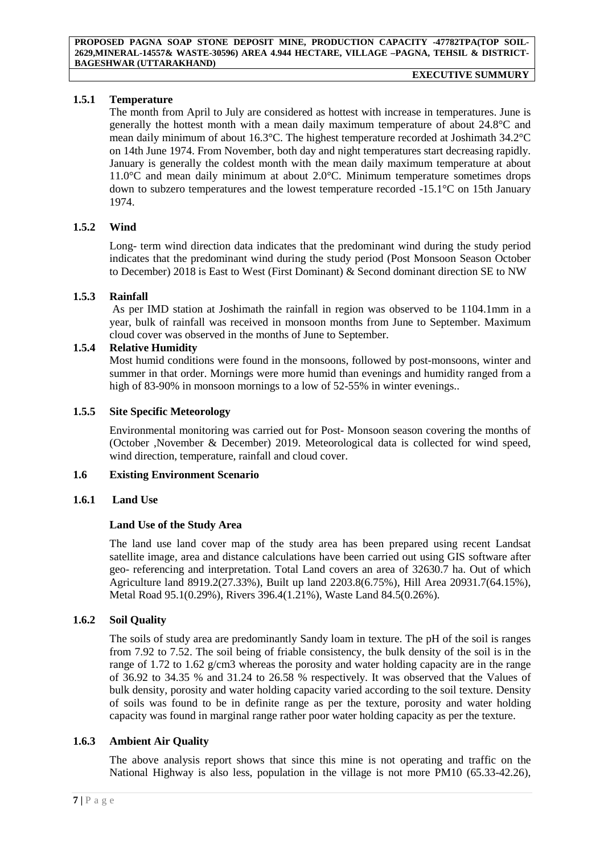# <span id="page-6-0"></span>**1.5.1 Temperature**

The month from April to July are considered as hottest with increase in temperatures. June is generally the hottest month with a mean daily maximum temperature of about 24.8°C and mean daily minimum of about 16.3°C. The highest temperature recorded at Joshimath 34.2°C on 14th June 1974. From November, both day and night temperatures start decreasing rapidly. January is generally the coldest month with the mean daily maximum temperature at about 11.0°C and mean daily minimum at about 2.0°C. Minimum temperature sometimes drops down to subzero temperatures and the lowest temperature recorded -15.1°C on 15th January 1974.

# <span id="page-6-1"></span>**1.5.2 Wind**

Long- term wind direction data indicates that the predominant wind during the study period indicates that the predominant wind during the study period (Post Monsoon Season October to December) 2018 is East to West (First Dominant) & Second dominant direction SE to NW

## <span id="page-6-2"></span>**1.5.3 Rainfall**

As per IMD station at Joshimath the rainfall in region was observed to be 1104.1mm in a year, bulk of rainfall was received in monsoon months from June to September. Maximum cloud cover was observed in the months of June to September.

## <span id="page-6-3"></span>**1.5.4 Relative Humidity**

Most humid conditions were found in the monsoons, followed by post-monsoons, winter and summer in that order. Mornings were more humid than evenings and humidity ranged from a high of 83-90% in monsoon mornings to a low of 52-55% in winter evenings..

## <span id="page-6-4"></span>**1.5.5 Site Specific Meteorology**

Environmental monitoring was carried out for Post- Monsoon season covering the months of (October ,November & December) 2019. Meteorological data is collected for wind speed, wind direction, temperature, rainfall and cloud cover.

## <span id="page-6-5"></span>**1.6 Existing Environment Scenario**

## **1.6.1 Land Use**

## <span id="page-6-6"></span>**Land Use of the Study Area**

The land use land cover map of the study area has been prepared using recent Landsat satellite image, area and distance calculations have been carried out using GIS software after geo- referencing and interpretation. Total Land covers an area of 32630.7 ha. Out of which Agriculture land 8919.2(27.33%), Built up land 2203.8(6.75%), Hill Area 20931.7(64.15%), Metal Road 95.1(0.29%), Rivers 396.4(1.21%), Waste Land 84.5(0.26%).

## <span id="page-6-7"></span>**1.6.2 Soil Quality**

The soils of study area are predominantly Sandy loam in texture. The pH of the soil is ranges from 7.92 to 7.52. The soil being of friable consistency, the bulk density of the soil is in the range of 1.72 to 1.62 g/cm3 whereas the porosity and water holding capacity are in the range of 36.92 to 34.35 % and 31.24 to 26.58 % respectively. It was observed that the Values of bulk density, porosity and water holding capacity varied according to the soil texture. Density of soils was found to be in definite range as per the texture, porosity and water holding capacity was found in marginal range rather poor water holding capacity as per the texture.

## <span id="page-6-8"></span>**1.6.3 Ambient Air Quality**

The above analysis report shows that since this mine is not operating and traffic on the National Highway is also less, population in the village is not more PM10 (65.33-42.26),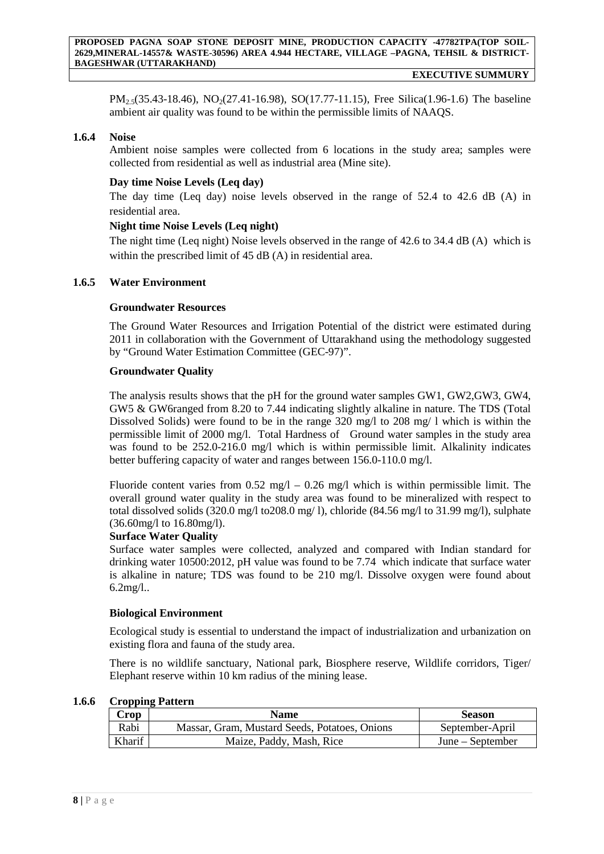**EXECUTIVE SUMMURY** 

 $PM_{2.5}(35.43-18.46)$ , NO<sub>2</sub>(27.41-16.98), SO(17.77-11.15), Free Silica(1.96-1.6) The baseline ambient air quality was found to be within the permissible limits of NAAQS.

#### <span id="page-7-0"></span>**1.6.4 Noise**

Ambient noise samples were collected from 6 locations in the study area; samples were collected from residential as well as industrial area (Mine site).

## **Day time Noise Levels (Leq day)**

The day time (Leq day) noise levels observed in the range of 52.4 to 42.6 dB (A) in residential area.

## **Night time Noise Levels (Leq night)**

The night time (Leq night) Noise levels observed in the range of 42.6 to 34.4 dB (A) which is within the prescribed limit of 45 dB (A) in residential area.

#### <span id="page-7-1"></span>**1.6.5 Water Environment**

#### **Groundwater Resources**

The Ground Water Resources and Irrigation Potential of the district were estimated during 2011 in collaboration with the Government of Uttarakhand using the methodology suggested by "Ground Water Estimation Committee (GEC-97)".

#### **Groundwater Quality**

The analysis results shows that the pH for the ground water samples GW1, GW2,GW3, GW4, GW5 & GW6ranged from 8.20 to 7.44 indicating slightly alkaline in nature. The TDS (Total Dissolved Solids) were found to be in the range 320 mg/l to 208 mg/ l which is within the permissible limit of 2000 mg/l. Total Hardness of Ground water samples in the study area was found to be 252.0-216.0 mg/l which is within permissible limit. Alkalinity indicates better buffering capacity of water and ranges between 156.0-110.0 mg/l.

Fluoride content varies from  $0.52 \text{ mg/l} - 0.26 \text{ mg/l}$  which is within permissible limit. The overall ground water quality in the study area was found to be mineralized with respect to total dissolved solids  $(320.0 \text{ mg}/1 \text{ to} 208.0 \text{ mg}/1)$ , chloride  $(84.56 \text{ mg}/1 \text{ to} 31.99 \text{ mg}/1)$ , sulphate (36.60mg/l to 16.80mg/l).

## **Surface Water Quality**

Surface water samples were collected, analyzed and compared with Indian standard for drinking water 10500:2012, pH value was found to be 7.74 which indicate that surface water is alkaline in nature; TDS was found to be 210 mg/l. Dissolve oxygen were found about 6.2mg/l..

## **Biological Environment**

Ecological study is essential to understand the impact of industrialization and urbanization on existing flora and fauna of the study area.

There is no wildlife sanctuary, National park, Biosphere reserve, Wildlife corridors, Tiger/ Elephant reserve within 10 km radius of the mining lease.

| <b>Crop</b> | <b>Name</b>                                   | <b>Season</b>    |
|-------------|-----------------------------------------------|------------------|
| Rabi        | Massar, Gram, Mustard Seeds, Potatoes, Onions | September-April  |
| Kharif      | Maize, Paddy, Mash, Rice                      | June – September |

#### <span id="page-7-2"></span>**1.6.6 Cropping Pattern**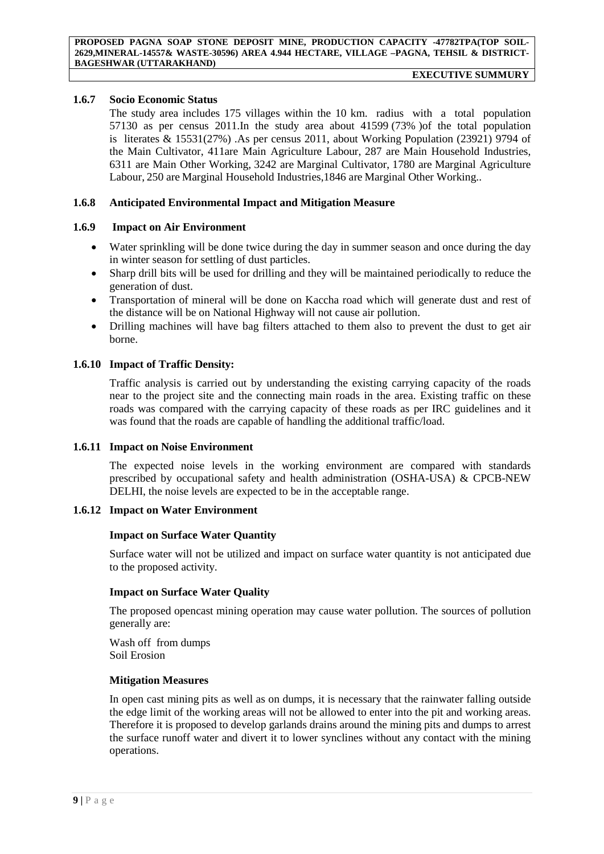# <span id="page-8-0"></span>**1.6.7 Socio Economic Status**

The study area includes 175 villages within the 10 km. radius with a total population 57130 as per census 2011.In the study area about 41599 (73% )of the total population is literates & 15531(27%) .As per census 2011, about Working Population (23921) 9794 of the Main Cultivator, 411are Main Agriculture Labour, 287 are Main Household Industries, 6311 are Main Other Working, 3242 are Marginal Cultivator, 1780 are Marginal Agriculture Labour, 250 are Marginal Household Industries,1846 are Marginal Other Working..

## <span id="page-8-1"></span>**1.6.8 Anticipated Environmental Impact and Mitigation Measure**

#### **1.6.9 Impact on Air Environment**

- <span id="page-8-2"></span>• Water sprinkling will be done twice during the day in summer season and once during the day in winter season for settling of dust particles.
- Sharp drill bits will be used for drilling and they will be maintained periodically to reduce the generation of dust.
- Transportation of mineral will be done on Kaccha road which will generate dust and rest of the distance will be on National Highway will not cause air pollution.
- Drilling machines will have bag filters attached to them also to prevent the dust to get air borne.

#### <span id="page-8-3"></span>**1.6.10 Impact of Traffic Density:**

Traffic analysis is carried out by understanding the existing carrying capacity of the roads near to the project site and the connecting main roads in the area. Existing traffic on these roads was compared with the carrying capacity of these roads as per IRC guidelines and it was found that the roads are capable of handling the additional traffic/load.

#### <span id="page-8-4"></span>**1.6.11 Impact on Noise Environment**

The expected noise levels in the working environment are compared with standards prescribed by occupational safety and health administration (OSHA-USA) & CPCB-NEW DELHI, the noise levels are expected to be in the acceptable range.

#### <span id="page-8-5"></span>**1.6.12 Impact on Water Environment**

#### **Impact on Surface Water Quantity**

Surface water will not be utilized and impact on surface water quantity is not anticipated due to the proposed activity.

## **Impact on Surface Water Quality**

The proposed opencast mining operation may cause water pollution. The sources of pollution generally are:

Wash off from dumps Soil Erosion

#### **Mitigation Measures**

In open cast mining pits as well as on dumps, it is necessary that the rainwater falling outside the edge limit of the working areas will not be allowed to enter into the pit and working areas. Therefore it is proposed to develop garlands drains around the mining pits and dumps to arrest the surface runoff water and divert it to lower synclines without any contact with the mining operations.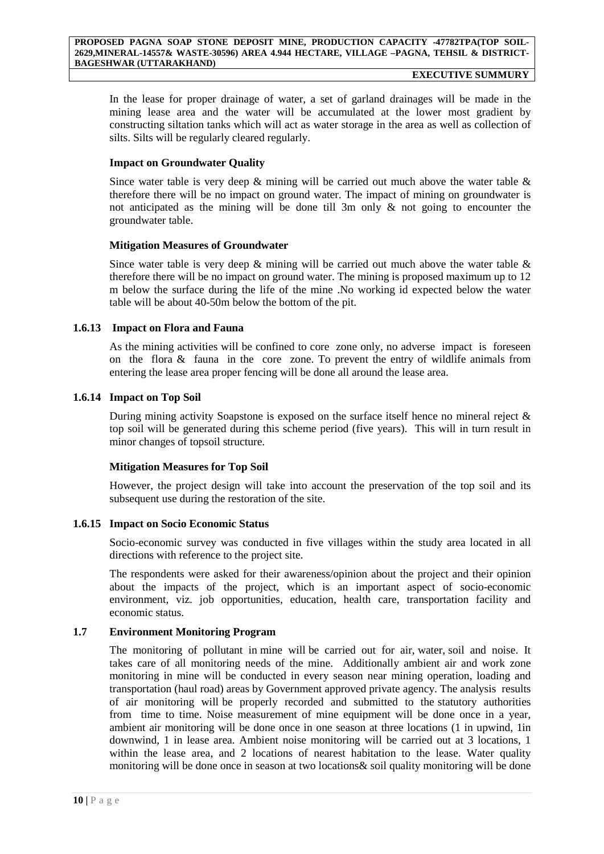#### **EXECUTIVE SUMMURY**

In the lease for proper drainage of water, a set of garland drainages will be made in the mining lease area and the water will be accumulated at the lower most gradient by constructing siltation tanks which will act as water storage in the area as well as collection of silts. Silts will be regularly cleared regularly.

# **Impact on Groundwater Quality**

Since water table is very deep  $\&$  mining will be carried out much above the water table  $\&$ therefore there will be no impact on ground water. The impact of mining on groundwater is not anticipated as the mining will be done till 3m only & not going to encounter the groundwater table.

# **Mitigation Measures of Groundwater**

Since water table is very deep  $\&$  mining will be carried out much above the water table  $\&$ therefore there will be no impact on ground water. The mining is proposed maximum up to 12 m below the surface during the life of the mine .No working id expected below the water table will be about 40-50m below the bottom of the pit.

# **1.6.13 Impact on Flora and Fauna**

<span id="page-9-0"></span>As the mining activities will be confined to core zone only, no adverse impact is foreseen on the flora & fauna in the core zone. To prevent the entry of wildlife animals from entering the lease area proper fencing will be done all around the lease area.

# <span id="page-9-1"></span>**1.6.14 Impact on Top Soil**

During mining activity Soapstone is exposed on the surface itself hence no mineral reject & top soil will be generated during this scheme period (five years). This will in turn result in minor changes of topsoil structure.

## **Mitigation Measures for Top Soil**

However, the project design will take into account the preservation of the top soil and its subsequent use during the restoration of the site.

## <span id="page-9-2"></span>**1.6.15 Impact on Socio Economic Status**

Socio-economic survey was conducted in five villages within the study area located in all directions with reference to the project site.

The respondents were asked for their awareness/opinion about the project and their opinion about the impacts of the project, which is an important aspect of socio-economic environment, viz. job opportunities, education, health care, transportation facility and economic status.

# <span id="page-9-3"></span>**1.7 Environment Monitoring Program**

The monitoring of pollutant in mine will be carried out for air, water, soil and noise. It takes care of all monitoring needs of the mine. Additionally ambient air and work zone monitoring in mine will be conducted in every season near mining operation, loading and transportation (haul road) areas by Government approved private agency. The analysis results of air monitoring will be properly recorded and submitted to the statutory authorities from time to time. Noise measurement of mine equipment will be done once in a year, ambient air monitoring will be done once in one season at three locations (1 in upwind, 1in downwind, 1 in lease area. Ambient noise monitoring will be carried out at 3 locations, 1 within the lease area, and 2 locations of nearest habitation to the lease. Water quality monitoring will be done once in season at two locations& soil quality monitoring will be done